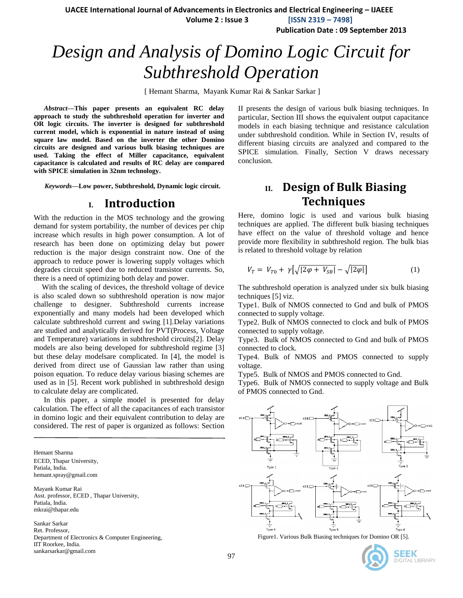**UACEE International Journal of Advancements in Electronics and Electrical Engineering – IJAEEE Volume 2 : Issue 3 [ISSN 2319 – 7498]**

**Publication Date : 09 September 2013**

# *Design and Analysis of Domino Logic Circuit for Subthreshold Operation*

[ Hemant Sharma, Mayank Kumar Rai & Sankar Sarkar ]

*Abstract***—This paper presents an equivalent RC delay approach to study the subthreshold operation for inverter and OR logic circuits. The inverter is designed for subthreshold current model, which is exponential in nature instead of using square law model. Based on the inverter the other Domino circuits are designed and various bulk biasing techniques are used. Taking the effect of Miller capacitance, equivalent capacitance is calculated and results of RC delay are compared with SPICE simulation in 32nm technology.**

*Keywords—***Low power, Subthreshold, Dynamic logic circuit.**

### **I. Introduction**

With the reduction in the MOS technology and the growing demand for system portability, the number of devices per chip increase which results in high power consumption. A lot of research has been done on optimizing delay but power reduction is the major design constraint now. One of the approach to reduce power is lowering supply voltages which degrades circuit speed due to reduced transistor currents. So, there is a need of optimizing both delay and power.

With the scaling of devices, the threshold voltage of device is also scaled down so subthreshold operation is now major challenge to designer. Subthreshold currents increase exponentially and many models had been developed which calculate subthreshold current and swing [1].Delay variations are studied and analytically derived for PVT(Process, Voltage and Temperature) variations in subthreshold circuits[2]. Delay models are also being developed for subthreshold regime [3] but these delay modelsare complicated. In [4], the model is derived from direct use of Gaussian law rather than using poison equation. To reduce delay various biasing schemes are used as in [5]. Recent work published in subthreshold design to calculate delay are complicated.

In this paper, a simple model is presented for delay calculation. The effect of all the capacitances of each transistor in domino logic and their equivalent contribution to delay are considered. The rest of paper is organized as follows: Section

Hemant Sharma ECED, Thapar University, Patiala, India. hemant.spray@gmail.com

Mayank Kumar Rai Asst. professor, ECED , Thapar University, Patiala, India. mkrai@thapar.edu

Sankar Sarkar Ret. Professor, Department of Electronics & Computer Engineering, IIT Roorkee, India. sankarsarkar@gmail.com

II presents the design of various bulk biasing techniques. In particular, Section III shows the equivalent output capacitance models in each biasing technique and resistance calculation under subthreshold condition. While in Section IV, results of different biasing circuits are analyzed and compared to the SPICE simulation. Finally, Section V draws necessary conclusion.

# **II. Design of Bulk Biasing Techniques**

Here, domino logic is used and various bulk biasing techniques are applied. The different bulk biasing techniques have effect on the value of threshold voltage and hence provide more flexibility in subthreshold region. The bulk bias is related to threshold voltage by relation

$$
V_T = V_{T0} + \gamma \left[ \sqrt{|2\varphi + V_{SB}|} - \sqrt{|2\varphi|} \right] \tag{1}
$$

The subthreshold operation is analyzed under six bulk biasing techniques [5] viz.

Type1. Bulk of NMOS connected to Gnd and bulk of PMOS connected to supply voltage.

Type2. Bulk of NMOS connected to clock and bulk of PMOS connected to supply voltage.

Type3. Bulk of NMOS connected to Gnd and bulk of PMOS connected to clock.

Type4. Bulk of NMOS and PMOS connected to supply voltage.

Type5. Bulk of NMOS and PMOS connected to Gnd.

Type6. Bulk of NMOS connected to supply voltage and Bulk of PMOS connected to Gnd.



Figure1. Various Bulk Biasing techniques for Domino OR [5].



**DIGITAL LIBRARY**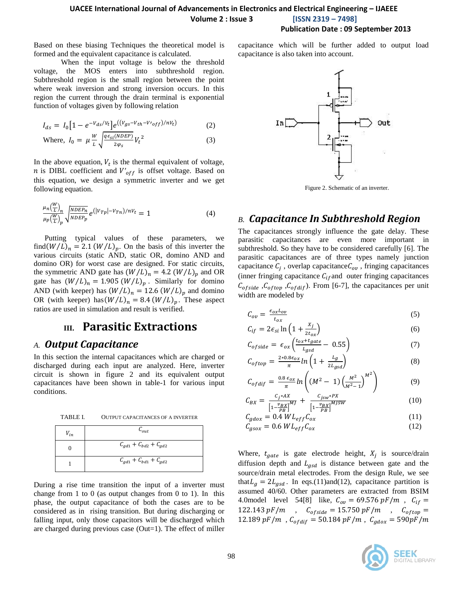Based on these biasing Techniques the theoretical model is formed and the equivalent capacitance is calculated.

When the input voltage is below the threshold voltage, the MOS enters into subthreshold region. Subthreshold region is the small region between the point where weak inversion and strong inversion occurs. In this region the current through the drain terminal is exponential function of voltages given by following relation

$$
I_{ds} = I_0 \left[ 1 - e^{-V_{ds}/V_t} \right] e^{((V_{gs} - V_{th} - V_{off})/nV_t)} \tag{2}
$$

Where, 
$$
I_0 = \mu \frac{W}{L} \sqrt{\frac{q \epsilon_{si}(NDEP)}{2\varphi_s}} V_t^2
$$
 (3)

In the above equation,  $V_t$  is the thermal equivalent of voltage, *n* is DIBL coefficient and  $V'_{off}$  is offset voltage. Based on this equation, we design a symmetric inverter and we get following equation.

$$
\frac{\mu_n(\frac{W}{L})_n}{\mu_p(\frac{W}{L})_p} \sqrt{\frac{NDEP_n}{NDEP_p}} e^{(|V_{Tp}| - V_{Tn})/nV_t} = 1
$$
\n(4)

Putting typical values of these parameters, we find( $W/L$ )<sub>n</sub> = 2.1 ( $W/L$ )<sub>p</sub>. On the basis of this inverter the various circuits (static AND, static OR, domino AND and domino OR) for worst case are designed. For static circuits, the symmetric AND gate has  $(W/L)_n = 4.2 (W/L)_p$  and OR gate has  $(W/L)_n = 1.905 (W/L)_p$ . Similarly for domino AND (with keeper) has  $(W/L)_n = 12.6 (W/L)_p$  and domino OR (with keeper) has  $(W/L)_n = 8.4 (W/L)_p$ . These aspect ratios are used in simulation and result is verified.

# **III. Parasitic Extractions**

### *A. Output Capacitance*

In this section the internal capacitances which are charged or discharged during each input are analyzed. Here, inverter circuit is shown in figure 2 and its equivalent output capacitances have been shown in table-1 for various input conditions.

TABLE I. OUTPUT CAPACITANCES OF A INVERTER

| $V_{in}$ | $\mathcal{C}_{out}$           |
|----------|-------------------------------|
|          | $C_{gd1} + C_{bd2} + C_{gd2}$ |
|          | $C_{gd1} + C_{bd1} + C_{gd2}$ |

During a rise time transition the input of a inverter must change from 1 to 0 (as output changes from 0 to 1). In this phase, the output capacitance of both the cases are to be considered as in rising transition. But during discharging or falling input, only those capacitors will be discharged which are charged during previous case (Out=1). The effect of miller capacitance which will be further added to output load capacitance is also taken into account.



Figure 2. Schematic of an inverter.

### *B. Capacitance In Subthreshold Region*

The capacitances strongly influence the gate delay. These parasitic capacitances are even more important in subthreshold. So they have to be considered carefully [6]. The parasitic capacitances are of three types namely junction capacitance  $C_i$ , overlap capacitance  $C_{ov}$ , fringing capacitances (inner fringing capacitance  $C_{if}$  and outer fringing capacitances  $C_{ofside}$ ,  $C_{oftop}$ ,  $C_{ofdir}$ ). From [6-7], the capacitances per unit width are modeled by

$$
C_{ov} = \frac{\epsilon_{ox} L_{ov}}{t_{ox}}
$$
 (5)

$$
C_{if} = 2\epsilon_{si} \ln\left(1 + \frac{\lambda_j}{2t_{ox}}\right)
$$
\n
$$
C_{i} = \frac{t_{ox} + t_{gate}}{2\pi\epsilon} \quad \text{or} \quad \lambda \tag{5}
$$

$$
C_{ofside} = \epsilon_{ox} \left( \frac{\iota_{ox} + \iota_{gate}}{\iota_{gsd}} - 0.55 \right) \tag{7}
$$

$$
C_{oftop} = \frac{2 \times 0.8 \epsilon_{ox}}{\pi} ln\left(1 + \frac{L_g}{2L_{gsd}}\right)
$$
(8)

$$
C_{\text{of}} = \frac{0.8 \epsilon_{\text{ox}}}{\pi} \ln \left( \left( M^2 - 1 \right) \left( \frac{M^2}{M^2 - 1} \right)^{M^2} \right) \tag{9}
$$

$$
C_{BX} = \frac{C_j * AX}{\left[1 - \frac{v_{BX}}{PB}\right]^M} + \frac{C_{jsw} * PX}{\left[1 - \frac{v_{BX}}{PB}\right]^{MJSW}}
$$
(10)

$$
C_{gdox} = 0.4 WL_{eff} C_{ox}^{1.781}
$$
 (11)

$$
C_{gsox} = 0.6 \, WL_{eff} C_{ox} \tag{12}
$$

Where,  $t_{gate}$  is gate electrode height,  $X_i$  is source/drain diffusion depth and  $L_{gsd}$  is distance between gate and the source/drain metal electrodes. From the design Rule, we see that  $L_g = 2L_{gsd}$ . In eqs.(11)and(12), capacitance partition is assumed 40/60. Other parameters are extracted from BSIM 4.0model level 54[8] like,  $C_{ov} = 69.576 pF/m$ ,  $C_{if} =$ 122.143 pF/m ,  $C_{ofside} = 15.750 pF/m$  ,  $C_{oftop} =$ 12.189 pF/m,  $C_{ofdiff} = 50.184$  pF/m,  $C_{gdox} = 590pF/m$ 

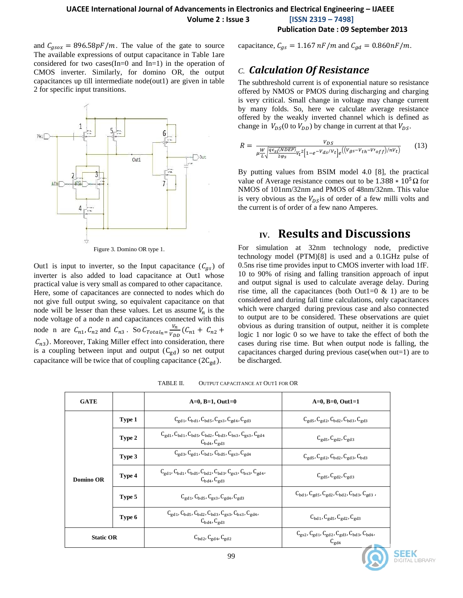**Volume 2 : Issue 3 [ISSN 2319 – 7498]**

#### **Publication Date : 09 September 2013**

and  $C_{gsox} = 896.58pF/m$ . The value of the gate to source capacitance,  $C_{gs} = 1.167 nF/m$  and  $C_{gd} = 0.860nF/m$ . The available expressions of output capacitance in Table 1are considered for two cases(In=0 and In=1) in the operation of CMOS inverter. Similarly, for domino OR, the output capacitances up till intermediate node(out1) are given in table 2 for specific input transitions.



Out1 is input to inverter, so the Input capacitance  $(C_{as})$  of inverter is also added to load capacitance at Out1 whose practical value is very small as compared to other capacitance. Here, some of capacitances are connected to nodes which do not give full output swing, so equivalent capacitance on that node will be lesser than these values. Let us assume  $V_n$  is the node voltage of a node n and capacitances connected with this node n are  $C_{n1}$ ,  $C_{n2}$  and  $C_{n3}$ . So  $C_{Total_n} = \frac{V_n}{V_n}$  $\frac{v_n}{V_{DD}}(C)$  $C_{n3}$ ). Moreover, Taking Miller effect into consideration, there is a coupling between input and output  $(C_{gd})$  so net output capacitance will be twice that of coupling capacitance  $(2C_{gd})$ .

### *C. Calculation Of Resistance*

The subthreshold current is of exponential nature so resistance offered by NMOS or PMOS during discharging and charging is very critical. Small change in voltage may change current by many folds. So, here we calculate average resistance offered by the weakly inverted channel which is defined as change in  $V_{DS}(0$  to  $V_{DD}$ ) by change in current at that  $V_{DS}$ .

$$
R = \frac{V_{DS}}{\mu \frac{W}{L} \sqrt{\frac{q\epsilon_{si}(NDEP)}{2\varphi_s}} V_t^2 \left[1 - e^{-V} ds/Vt\right] e^{\left(\left(V_{gs} - V_{th} - V\right) / \eta V_t\right)}} \tag{13}
$$

By putting values from BSIM model 4.0 [8], the practical value of Average resistance comes out to be  $1.388 * 10<sup>5</sup> \Omega$  for NMOS of 101nm/32nm and PMOS of 48nm/32nm. This value is very obvious as the  $V_{DS}$  is of order of a few milli volts and the current is of order of a few nano Amperes.

# **IV. Results and Discussions**

For simulation at 32nm technology node, predictive technology model (PTM)[8] is used and a 0.1GHz pulse of 0.5ns rise time provides input to CMOS inverter with load 1fF. 10 to 90% of rising and falling transition approach of input and output signal is used to calculate average delay. During rise time, all the capacitances (both Out1=0  $\&$  1) are to be considered and during fall time calculations, only capacitances which were charged during previous case and also connected to output are to be considered. These observations are quiet obvious as during transition of output, neither it is complete logic 1 nor logic 0 so we have to take the effect of both the cases during rise time. But when output node is falling, the capacitances charged during previous case(when out=1) are to be discharged.

| <b>GATE</b>      |        | $A=0, B=1, Out1=0$                                                                                                                                                                     | $A=0, B=0, Out1=1$                                                                                                                                       |  |  |
|------------------|--------|----------------------------------------------------------------------------------------------------------------------------------------------------------------------------------------|----------------------------------------------------------------------------------------------------------------------------------------------------------|--|--|
|                  | Type 1 | $C_{\rm{gd1}}$ , $C_{\rm{bd1}}$ , $C_{\rm{bd5}}$ , $C_{\rm{gs3}}$ , $C_{\rm{gd4}}$ , $C_{\rm{gd3}}$                                                                                    | $C_{\rm gd5}$ , $C_{\rm gd2}$ , $C_{\rm bd2}$ , $C_{\rm bd3}$ , $C_{\rm gd3}$                                                                            |  |  |
|                  | Type 2 | $C_{\text{gd1}}$ , $C_{\text{bd1}}$ , $C_{\text{bd5}}$ , $C_{\text{bd2}}$ , $C_{\text{bd3}}$ , $C_{\text{bs3}}$ , $C_{\text{gs3}}$ , $C_{\text{gd4}}$<br>$C_{\rm bd4}$ , $C_{\rm gd3}$ | $C_{\text{gd5}}$ , $C_{\text{gd2}}$ , $C_{\text{gd3}}$                                                                                                   |  |  |
|                  | Type 3 | $C_{\rm gd3}$ , $C_{\rm gd1}$ , $C_{\rm bd1}$ , $C_{\rm bd5}$ , $C_{\rm gs3}$ , $C_{\rm gd4}$                                                                                          | $C_{\rm gd5}$ , $C_{\rm gd2}$ , $C_{\rm bd2}$ , $C_{\rm gd3}$ , $C_{\rm bd3}$                                                                            |  |  |
| Domino OR        | Type 4 | $C_{\rm gd1}$ , $C_{\rm bd1}$ , $C_{\rm bd5}$ , $C_{\rm bd2}$ , $C_{\rm bd3}$ , $C_{\rm gs3}$ , $C_{\rm bs3}$ , $C_{\rm gd4}$ ,<br>$C_{\rm bd4}$ , $C_{\rm gd3}$                       | $C_{\text{gd5}}$ , $C_{\text{gd2}}$ , $C_{\text{gd3}}$                                                                                                   |  |  |
|                  | Type 5 | $C_{\text{gd1}}$ , $C_{\text{bd5}}$ , $C_{\text{gs3}}$ , $C_{\text{gd4}}$ , $C_{\text{gd3}}$                                                                                           | $\mathsf{C}_{\text{bd}1}, \mathsf{C}_{\text{gd}5}, \mathsf{C}_{\text{gd}2}, \mathsf{C}_{\text{bd}2}, \mathsf{C}_{\text{bd}3}, \mathsf{C}_{\text{gd}3}$ , |  |  |
|                  | Type 6 | $C_{\rm gd1}$ , $C_{\rm bd5}$ , $C_{\rm bd2}$ , $C_{\rm bd3}$ , $C_{\rm gs3}$ , $C_{\rm bs3}$ , $C_{\rm gd4}$ ,<br>$C_{\rm bd4}$ , $C_{\rm gd3}$                                       | $C_{\text{bd1}}$ , $C_{\text{gd5}}$ , $C_{\text{gd2}}$ , $C_{\text{gd3}}$                                                                                |  |  |
| <b>Static OR</b> |        | $C_{\rm bd2}$ , $C_{\rm gd4}$ , $C_{\rm gd2}$                                                                                                                                          | $C_{gs2}$ , $C_{gd1}$ , $C_{gd2}$ , $C_{gd3}$ , $C_{bd3}$ , $C_{bd4}$ ,<br>$C_{gd4}$                                                                     |  |  |

TABLE II. OUTPUT CAPACITANCE AT OUT1 FOR OR

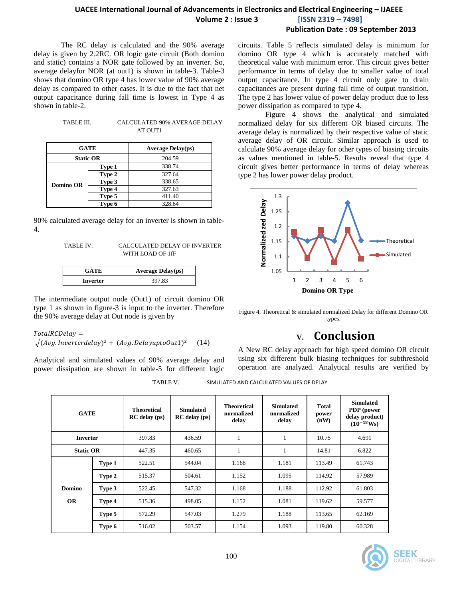## **UACEE International Journal of Advancements in Electronics and Electrical Engineering – IJAEEE Volume 2 : Issue 3 [ISSN 2319 – 7498]**

### **Publication Date : 09 September 2013**

The RC delay is calculated and the 90% average delay is given by 2.2RC. OR logic gate circuit (Both domino and static) contains a NOR gate followed by an inverter. So, average delayfor NOR (at out1) is shown in table-3. Table-3 shows that domino OR type 4 has lower value of 90% average delay as compared to other cases. It is due to the fact that net output capacitance during fall time is lowest in Type 4 as shown in table-2.

| TABLE III. | <b>CALCULATED 90% AVERAGE DELAY</b> |
|------------|-------------------------------------|
|            | AT OUT1                             |

| <b>GATE</b>      |        | <b>Average Delay(ps)</b> |  |  |
|------------------|--------|--------------------------|--|--|
| <b>Static OR</b> |        | 204.59                   |  |  |
|                  | Type 1 | 338.74                   |  |  |
|                  | Type 2 | 327.64                   |  |  |
| <b>Domino OR</b> | Type 3 | 338.65                   |  |  |
|                  | Type 4 | 327.63                   |  |  |
|                  | Type 5 | 411.40                   |  |  |
|                  | Type 6 | 328.64                   |  |  |

90% calculated average delay for an inverter is shown in table-4.

| TABLE IV. | CALCULATED DELAY OF INVERTER |
|-----------|------------------------------|
|           | WITH LOAD OF 1fF             |

| <b>GATE</b> | <b>Average Delay(ps)</b> |  |  |
|-------------|--------------------------|--|--|
| Inverter    | 397.83                   |  |  |

The intermediate output node (Out1) of circuit domino OR type 1 as shown in figure-3 is input to the inverter. Therefore the 90% average delay at Out node is given by

#### $TotalRCDelay =$

$$
\sqrt{(Avg. Invertedelay)^2 + (Avg. DelayuptoOut1)^2} \quad (14)
$$

Analytical and simulated values of 90% average delay and power dissipation are shown in table-5 for different logic circuits. Table 5 reflects simulated delay is minimum for domino OR type 4 which is accurately matched with theoretical value with minimum error. This circuit gives better performance in terms of delay due to smaller value of total output capacitance. In type 4 circuit only gate to drain capacitances are present during fall time of output transition. The type 2 has lower value of power delay product due to less power dissipation as compared to type 4.

Figure 4 shows the analytical and simulated normalized delay for six different OR biased circuits. The average delay is normalized by their respective value of static average delay of OR circuit. Similar approach is used to calculate 90% average delay for other types of biasing circuits as values mentioned in table-5. Results reveal that type 4 circuit gives better performance in terms of delay whereas type 2 has lower power delay product.



Figure 4. Theoretical & simulated normalized Delay for different Domino OR types.

# **V. Conclusion**

A New RC delay approach for high speed domino OR circuit using six different bulk biasing techniques for subthreshold operation are analyzed. Analytical results are verified by

TABLE V. SIMULATED AND CALCULATED VALUES OF DELAY

| <b>GATE</b>      |        | <b>Theoretical</b><br>$RC$ delay (ps) | <b>Simulated</b><br>$RC$ delay (ps) | <b>Theoretical</b><br>normalized<br>delay | <b>Simulated</b><br>normalized<br>delay | <b>Total</b><br>power<br>(nW) | <b>Simulated</b><br><b>PDP</b> (power<br>delay product)<br>$(10^{-18}$ Ws) |
|------------------|--------|---------------------------------------|-------------------------------------|-------------------------------------------|-----------------------------------------|-------------------------------|----------------------------------------------------------------------------|
| <b>Inverter</b>  |        | 397.83                                | 436.59                              | 1                                         | -                                       | 10.75                         | 4.691                                                                      |
| <b>Static OR</b> |        | 447.35                                | 460.65                              | 1                                         | ı.                                      | 14.81                         | 6.822                                                                      |
|                  | Type 1 | 522.51                                | 544.04                              | 1.168                                     | 1.181                                   | 113.49                        | 61.743                                                                     |
|                  | Type 2 | 515.37                                | 504.61                              | 1.152                                     | 1.095                                   | 114.92                        | 57.989                                                                     |
| <b>Domino</b>    | Type 3 | 522.45                                | 547.32                              | 1.168                                     | 1.188                                   | 112.92                        | 61.803                                                                     |
| <b>OR</b>        | Type 4 | 515.36                                | 498.05                              | 1.152                                     | 1.081                                   | 119.62                        | 59.577                                                                     |
|                  | Type 5 | 572.29                                | 547.03                              | 1.279                                     | 1.188                                   | 113.65                        | 62.169                                                                     |
|                  | Type 6 | 516.02                                | 503.57                              | 1.154                                     | 1.093                                   | 119.80                        | 60.328                                                                     |